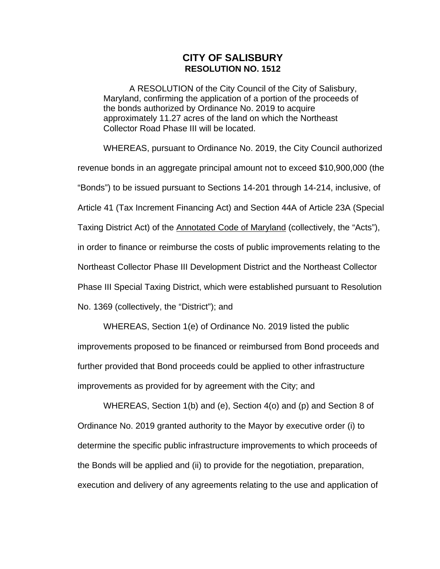## **CITY OF SALISBURY RESOLUTION NO. 1512**

A RESOLUTION of the City Council of the City of Salisbury, Maryland, confirming the application of a portion of the proceeds of the bonds authorized by Ordinance No. 2019 to acquire approximately 11.27 acres of the land on which the Northeast Collector Road Phase III will be located.

WHEREAS, pursuant to Ordinance No. 2019, the City Council authorized revenue bonds in an aggregate principal amount not to exceed \$10,900,000 (the "Bonds") to be issued pursuant to Sections 14-201 through 14-214, inclusive, of Article 41 (Tax Increment Financing Act) and Section 44A of Article 23A (Special Taxing District Act) of the **Annotated Code of Maryland** (collectively, the "Acts"), in order to finance or reimburse the costs of public improvements relating to the Northeast Collector Phase III Development District and the Northeast Collector Phase III Special Taxing District, which were established pursuant to Resolution No. 1369 (collectively, the "District"); and

WHEREAS, Section 1(e) of Ordinance No. 2019 listed the public improvements proposed to be financed or reimbursed from Bond proceeds and further provided that Bond proceeds could be applied to other infrastructure improvements as provided for by agreement with the City; and

WHEREAS, Section 1(b) and (e), Section 4(o) and (p) and Section 8 of Ordinance No. 2019 granted authority to the Mayor by executive order (i) to determine the specific public infrastructure improvements to which proceeds of the Bonds will be applied and (ii) to provide for the negotiation, preparation, execution and delivery of any agreements relating to the use and application of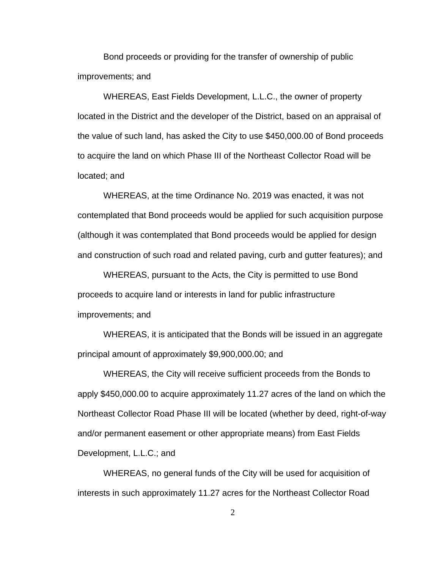Bond proceeds or providing for the transfer of ownership of public improvements; and

WHEREAS, East Fields Development, L.L.C., the owner of property located in the District and the developer of the District, based on an appraisal of the value of such land, has asked the City to use \$450,000.00 of Bond proceeds to acquire the land on which Phase III of the Northeast Collector Road will be located; and

WHEREAS, at the time Ordinance No. 2019 was enacted, it was not contemplated that Bond proceeds would be applied for such acquisition purpose (although it was contemplated that Bond proceeds would be applied for design and construction of such road and related paving, curb and gutter features); and

WHEREAS, pursuant to the Acts, the City is permitted to use Bond proceeds to acquire land or interests in land for public infrastructure improvements; and

WHEREAS, it is anticipated that the Bonds will be issued in an aggregate principal amount of approximately \$9,900,000.00; and

WHEREAS, the City will receive sufficient proceeds from the Bonds to apply \$450,000.00 to acquire approximately 11.27 acres of the land on which the Northeast Collector Road Phase III will be located (whether by deed, right-of-way and/or permanent easement or other appropriate means) from East Fields Development, L.L.C.; and

WHEREAS, no general funds of the City will be used for acquisition of interests in such approximately 11.27 acres for the Northeast Collector Road

2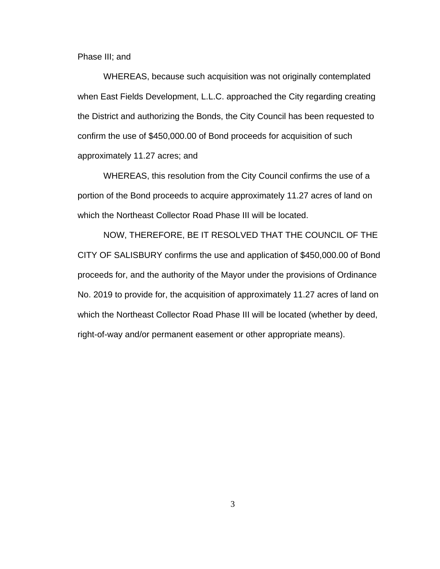Phase III; and

WHEREAS, because such acquisition was not originally contemplated when East Fields Development, L.L.C. approached the City regarding creating the District and authorizing the Bonds, the City Council has been requested to confirm the use of \$450,000.00 of Bond proceeds for acquisition of such approximately 11.27 acres; and

WHEREAS, this resolution from the City Council confirms the use of a portion of the Bond proceeds to acquire approximately 11.27 acres of land on which the Northeast Collector Road Phase III will be located.

NOW, THEREFORE, BE IT RESOLVED THAT THE COUNCIL OF THE CITY OF SALISBURY confirms the use and application of \$450,000.00 of Bond proceeds for, and the authority of the Mayor under the provisions of Ordinance No. 2019 to provide for, the acquisition of approximately 11.27 acres of land on which the Northeast Collector Road Phase III will be located (whether by deed, right-of-way and/or permanent easement or other appropriate means).